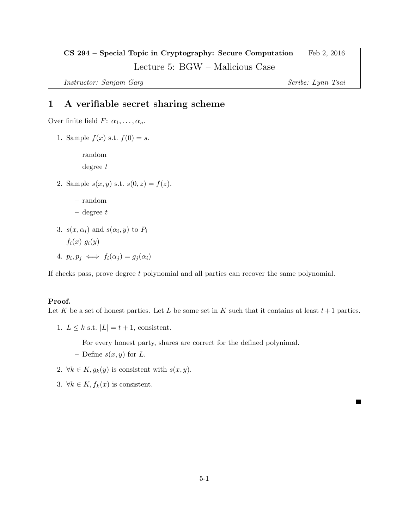CS 294 – Special Topic in Cryptography: Secure Computation Feb 2, 2016 Lecture 5: BGW – Malicious Case

Instructor: Sanjam Garg Scribe: Lynn Tsai

## 1 A verifiable secret sharing scheme

Over finite field  $F: \alpha_1, \ldots, \alpha_n$ .

- 1. Sample  $f(x)$  s.t.  $f(0) = s$ .
	- random
	- $-$  degree  $t$
- 2. Sample  $s(x, y)$  s.t.  $s(0, z) = f(z)$ .
	- random
	- $-$  degree  $t$
- 3.  $s(x, \alpha_i)$  and  $s(\alpha_i, y)$  to  $P_i$  $f_i(x)$   $g_i(y)$
- 4.  $p_i, p_j \iff f_i(\alpha_j) = g_j(\alpha_i)$

If checks pass, prove degree t polynomial and all parties can recover the same polynomial.

## Proof.

Let K be a set of honest parties. Let L be some set in K such that it contains at least  $t+1$  parties.

1.  $L \leq k$  s.t.  $|L| = t + 1$ , consistent.

- For every honest party, shares are correct for the defined polynimal.
- Define  $s(x, y)$  for L.
- 2.  $\forall k \in K, g_k(y)$  is consistent with  $s(x, y)$ .
- 3.  $\forall k \in K, f_k(x)$  is consistent.

 $\blacksquare$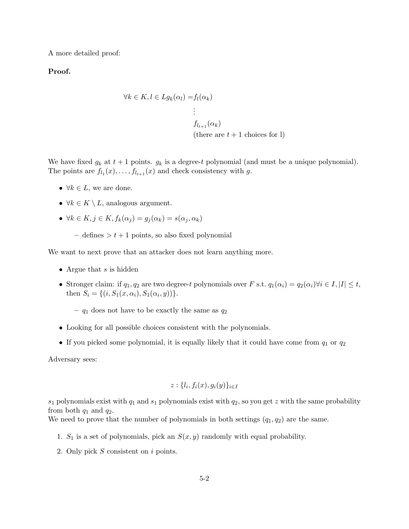A more detailed proof:

Proof.

$$
\forall k \in K, l \in Lg_k(\alpha_l) = f_l(\alpha_k)
$$
  
\n
$$
\vdots
$$
  
\n
$$
f_{l_{t+1}}(\alpha_k)
$$
  
\n(there are  $t + 1$  choices for l)

We have fixed  $g_k$  at  $t+1$  points.  $g_k$  is a degree-t polynomial (and must be a unique polynomial). The points are  $f_{l_1}(x), \ldots, f_{l_{t+1}}(x)$  and check consistency with g.

- $\forall k \in L$ , we are done.
- $\forall k \in K \setminus L$ , analogous argument.
- $\forall k \in K, j \in K, f_k(\alpha_i) = g_i(\alpha_k) = s(\alpha_i, \alpha_k)$ 
	- defines  $>t+1$  points, so also fixed polynomial

We want to next prove that an attacker does not learn anything more.

- Argue that  $s$  is hidden
- Stronger claim: if  $q_1, q_2$  are two degree-t polynomials over F s.t.  $q_1(\alpha_i) = q_2(\alpha_i) \forall i \in I, |I| \leq t$ , then  $S_i = \{(i, S_1(x, \alpha_i), S_1(\alpha_i, y))\}.$

–  $q_1$  does not have to be exactly the same as  $q_2$ 

- Looking for all possible choices consistent with the polynomials.
- If you picked some polynomial, it is equally likely that it could have come from  $q_1$  or  $q_2$

Adversary sees:

$$
z: \{l_i, f_i(x), g_i(y)\}_{i \in I}
$$

 $s_1$  polynomials exist with  $q_1$  and  $s_1$  polynomials exist with  $q_2$ , so you get z with the same probability from both  $q_1$  and  $q_2$ .

We need to prove that the number of polynomials in both settings  $(q_1, q_2)$  are the same.

- 1.  $S_1$  is a set of polynomials, pick an  $S(x, y)$  randomly with equal probability.
- 2. Only pick S consistent on i points.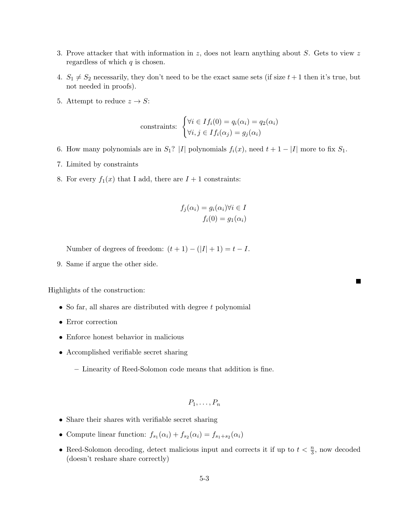- 3. Prove attacker that with information in  $z$ , does not learn anything about  $S$ . Gets to view  $z$ regardless of which  $q$  is chosen.
- 4.  $S_1 \neq S_2$  necessarily, they don't need to be the exact same sets (if size  $t + 1$  then it's true, but not needed in proofs).
- 5. Attempt to reduce  $z \to S$ :

constraints: 
$$
\begin{cases} \forall i \in If_i(0) = q_i(\alpha_i) = q_2(\alpha_i) \\ \forall i, j \in If_i(\alpha_j) = g_j(\alpha_i) \end{cases}
$$

- 6. How many polynomials are in  $S_1$ ? |I| polynomials  $f_i(x)$ , need  $t + 1 |I|$  more to fix  $S_1$ .
- 7. Limited by constraints
- 8. For every  $f_1(x)$  that I add, there are  $I + 1$  constraints:

$$
f_j(\alpha_i) = g_i(\alpha_i) \forall i \in I
$$
  

$$
f_i(0) = g_1(\alpha_i)
$$

Number of degrees of freedom:  $(t + 1) - (|I| + 1) = t - I$ .

9. Same if argue the other side.

Highlights of the construction:

- So far, all shares are distributed with degree  $t$  polynomial
- Error correction
- Enforce honest behavior in malicious
- Accomplished verifiable secret sharing
	- Linearity of Reed-Solomon code means that addition is fine.

$$
P_1,\ldots,P_n
$$

- Share their shares with verifiable secret sharing
- Compute linear function:  $f_{s_1}(\alpha_i) + f_{s_2}(\alpha_i) = f_{s_1+s_2}(\alpha_i)$
- Reed-Solomon decoding, detect malicious input and corrects it if up to  $t < \frac{n}{3}$ , now decoded (doesn't reshare share correctly)

п